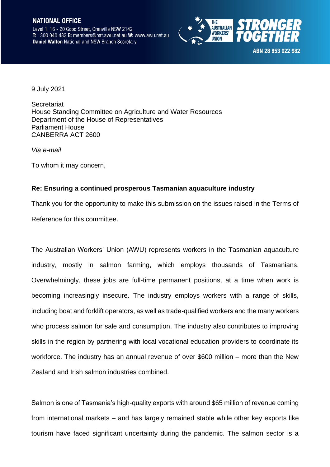#### **NATIONAL OFFICE**

Level 1, 16 - 20 Good Street, Granville NSW 2142 T: 1300 040 482 E: members@nat.awu.net.au W: www.awu.net.au **Daniel Walton National and NSW Branch Secretary** 



9 July 2021

**Secretariat** House Standing Committee on Agriculture and Water Resources Department of the House of Representatives Parliament House CANBERRA ACT 2600

*Via e-mail*

To whom it may concern,

## **Re: Ensuring a continued prosperous Tasmanian aquaculture industry**

Thank you for the opportunity to make this submission on the issues raised in the Terms of Reference for this committee.

The Australian Workers' Union (AWU) represents workers in the Tasmanian aquaculture industry, mostly in salmon farming, which employs thousands of Tasmanians. Overwhelmingly, these jobs are full-time permanent positions, at a time when work is becoming increasingly insecure. The industry employs workers with a range of skills, including boat and forklift operators, as well as trade-qualified workers and the many workers who process salmon for sale and consumption. The industry also contributes to improving skills in the region by partnering with local vocational education providers to coordinate its workforce. The industry has an annual revenue of over \$600 million – more than the New Zealand and Irish salmon industries combined.

Salmon is one of Tasmania's high-quality exports with around \$65 million of revenue coming from international markets – and has largely remained stable while other key exports like tourism have faced significant uncertainty during the pandemic. The salmon sector is a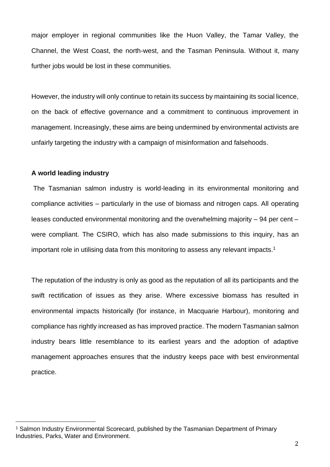major employer in regional communities like the Huon Valley, the Tamar Valley, the Channel, the West Coast, the north-west, and the Tasman Peninsula. Without it, many further jobs would be lost in these communities.

However, the industry will only continue to retain its success by maintaining its social licence, on the back of effective governance and a commitment to continuous improvement in management. Increasingly, these aims are being undermined by environmental activists are unfairly targeting the industry with a campaign of misinformation and falsehoods.

## **A world leading industry**

The Tasmanian salmon industry is world-leading in its environmental monitoring and compliance activities – particularly in the use of biomass and nitrogen caps. All operating leases conducted environmental monitoring and the overwhelming majority – 94 per cent – were compliant. The CSIRO, which has also made submissions to this inquiry, has an important role in utilising data from this monitoring to assess any relevant impacts. 1

The reputation of the industry is only as good as the reputation of all its participants and the swift rectification of issues as they arise. Where excessive biomass has resulted in environmental impacts historically (for instance, in Macquarie Harbour), monitoring and compliance has rightly increased as has improved practice. The modern Tasmanian salmon industry bears little resemblance to its earliest years and the adoption of adaptive management approaches ensures that the industry keeps pace with best environmental practice.

<sup>&</sup>lt;sup>1</sup> Salmon Industry Environmental Scorecard, published by the Tasmanian Department of Primary Industries, Parks, Water and Environment.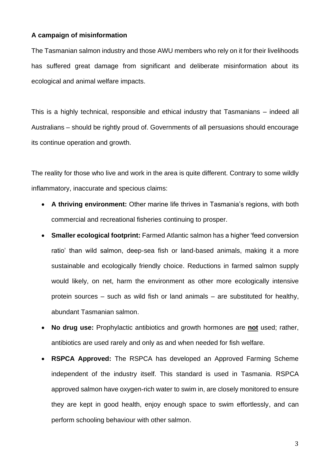## **A campaign of misinformation**

The Tasmanian salmon industry and those AWU members who rely on it for their livelihoods has suffered great damage from significant and deliberate misinformation about its ecological and animal welfare impacts.

This is a highly technical, responsible and ethical industry that Tasmanians – indeed all Australians – should be rightly proud of. Governments of all persuasions should encourage its continue operation and growth.

The reality for those who live and work in the area is quite different. Contrary to some wildly inflammatory, inaccurate and specious claims:

- **A thriving environment:** Other marine life thrives in Tasmania's regions, with both commercial and recreational fisheries continuing to prosper.
- **Smaller ecological footprint:** Farmed Atlantic salmon has a higher 'feed conversion ratio' than wild salmon, deep-sea fish or land-based animals, making it a more sustainable and ecologically friendly choice. Reductions in farmed salmon supply would likely, on net, harm the environment as other more ecologically intensive protein sources – such as wild fish or land animals – are substituted for healthy, abundant Tasmanian salmon.
- **No drug use:** Prophylactic antibiotics and growth hormones are **not** used; rather, antibiotics are used rarely and only as and when needed for fish welfare.
- **RSPCA Approved:** The RSPCA has developed an Approved Farming Scheme independent of the industry itself. This standard is used in Tasmania. RSPCA approved salmon have oxygen-rich water to swim in, are closely monitored to ensure they are kept in good health, enjoy enough space to swim effortlessly, and can perform schooling behaviour with other salmon.